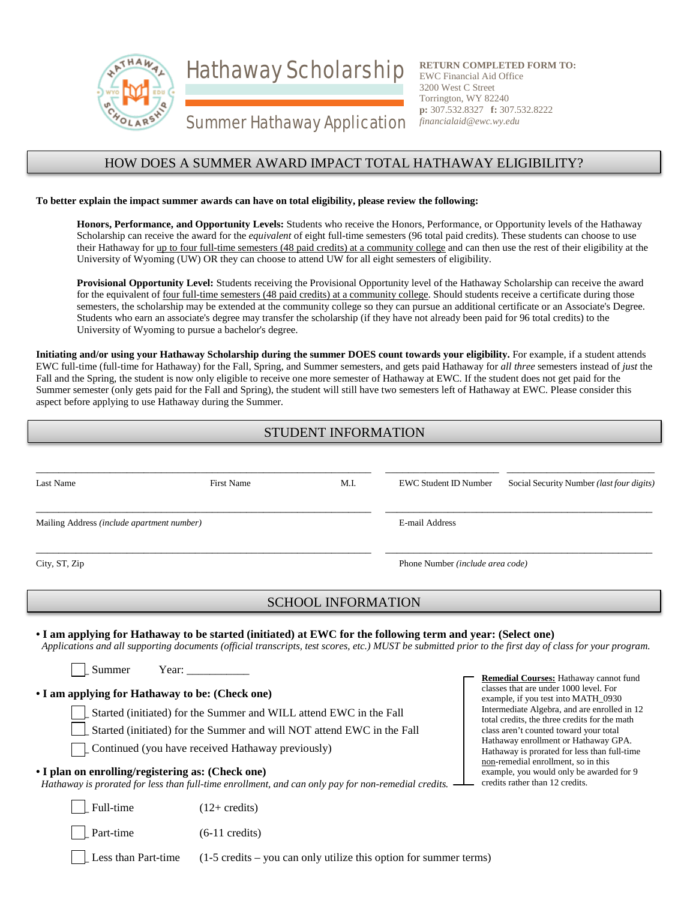Hathaway Scholarship



**RETURN COMPLETED FORM TO:** EWC Financial Aid Office 3200 West C Street Torrington, WY 82240 **p:** 307.532.8327 **f:** 307.532.8222 *financialaid@ewc.wy.edu*

# Summer Hathaway Application

### HOW DOES A SUMMER AWARD IMPACT TOTAL HATHAWAY ELIGIBILITY?

#### **To better explain the impact summer awards can have on total eligibility, please review the following:**

**Honors, Performance, and Opportunity Levels:** Students who receive the Honors, Performance, or Opportunity levels of the Hathaway Scholarship can receive the award for the *equivalent* of eight full-time semesters (96 total paid credits). These students can choose to use their Hathaway for up to four full-time semesters (48 paid credits) at a community college and can then use the rest of their eligibility at the University of Wyoming (UW) OR they can choose to attend UW for all eight semesters of eligibility.

**Provisional Opportunity Level:** Students receiving the Provisional Opportunity level of the Hathaway Scholarship can receive the award for the equivalent of four full-time semesters (48 paid credits) at a community college. Should students receive a certificate during those semesters, the scholarship may be extended at the community college so they can pursue an additional certificate or an Associate's Degree. Students who earn an associate's degree may transfer the scholarship (if they have not already been paid for 96 total credits) to the University of Wyoming to pursue a bachelor's degree.

**Initiating and/or using your Hathaway Scholarship during the summer DOES count towards your eligibility.** For example, if a student attends EWC full-time (full-time for Hathaway) for the Fall, Spring, and Summer semesters, and gets paid Hathaway for *all three* semesters instead of *just* the Fall and the Spring, the student is now only eligible to receive one more semester of Hathaway at EWC. If the student does not get paid for the Summer semester (only gets paid for the Fall and Spring), the student will still have two semesters left of Hathaway at EWC. Please consider this aspect before applying to use Hathaway during the Summer.

# STUDENT INFORMATION

| Last Name                                  | <b>First Name</b>                                                                                                                                                                                                                                                                                                                                                                                                                                                                                                                                                                                                                                  | M.I.                      | <b>EWC Student ID Number</b>     | Social Security Number (last four digits)                                                                                                                                                                                                                                                                                                                                                                                                                                                                                                                                                                                                   |
|--------------------------------------------|----------------------------------------------------------------------------------------------------------------------------------------------------------------------------------------------------------------------------------------------------------------------------------------------------------------------------------------------------------------------------------------------------------------------------------------------------------------------------------------------------------------------------------------------------------------------------------------------------------------------------------------------------|---------------------------|----------------------------------|---------------------------------------------------------------------------------------------------------------------------------------------------------------------------------------------------------------------------------------------------------------------------------------------------------------------------------------------------------------------------------------------------------------------------------------------------------------------------------------------------------------------------------------------------------------------------------------------------------------------------------------------|
| Mailing Address (include apartment number) |                                                                                                                                                                                                                                                                                                                                                                                                                                                                                                                                                                                                                                                    |                           | <b>E-mail Address</b>            |                                                                                                                                                                                                                                                                                                                                                                                                                                                                                                                                                                                                                                             |
| City, ST, Zip                              |                                                                                                                                                                                                                                                                                                                                                                                                                                                                                                                                                                                                                                                    |                           | Phone Number (include area code) |                                                                                                                                                                                                                                                                                                                                                                                                                                                                                                                                                                                                                                             |
|                                            |                                                                                                                                                                                                                                                                                                                                                                                                                                                                                                                                                                                                                                                    | <b>SCHOOL INFORMATION</b> |                                  |                                                                                                                                                                                                                                                                                                                                                                                                                                                                                                                                                                                                                                             |
| Summer<br>Full-time<br>Part-time           | • I am applying for Hathaway to be started (initiated) at EWC for the following term and year: (Select one)<br>Year: $\frac{1}{\sqrt{1-\frac{1}{2}} \cdot \frac{1}{2}}$<br>• I am applying for Hathaway to be: (Check one)<br>Started (initiated) for the Summer and WILL attend EWC in the Fall<br>Started (initiated) for the Summer and will NOT attend EWC in the Fall<br>Continued (you have received Hathaway previously)<br>• I plan on enrolling/registering as: (Check one)<br>Hathaway is prorated for less than full-time enrollment, and can only pay for non-remedial credits.<br>$(12 + \text{credits})$<br>$(6-11 \text{ credits})$ |                           |                                  | Applications and all supporting documents (official transcripts, test scores, etc.) MUST be submitted prior to the first day of class for your program.<br>Remedial Courses: Hathaway cannot fund<br>classes that are under 1000 level. For<br>example, if you test into MATH_0930<br>Intermediate Algebra, and are enrolled in 12<br>total credits, the three credits for the math<br>class aren't counted toward your total<br>Hathaway enrollment or Hathaway GPA.<br>Hathaway is prorated for less than full-time<br>non-remedial enrollment, so in this<br>example, you would only be awarded for 9<br>credits rather than 12 credits. |

Less than Part-time  $(1-5 \text{ credits} - \text{you can only utilize this option for summer terms})$